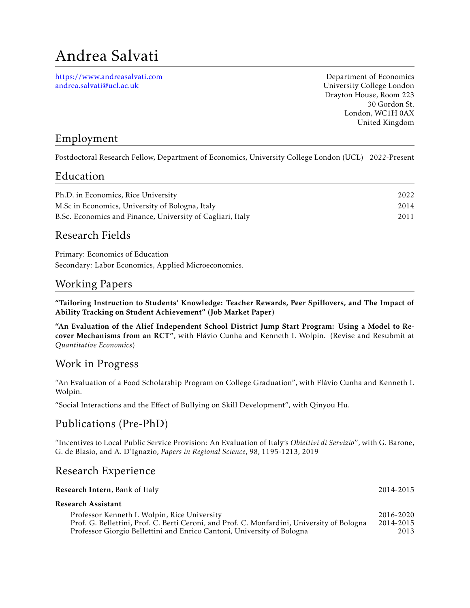# Andrea Salvati

<https://www.andreasalvati.com> [andrea.salvati@ucl.ac.uk](mailto:andrea.salvati@ucl.ac.uk)

Department of Economics University College London Drayton House, Room 223 30 Gordon St. London, WC1H 0AX United Kingdom

## Employment

Postdoctoral Research Fellow, Department of Economics, University College London (UCL) 2022-Present

#### Education

| 2022 |
|------|
| 2014 |
| 2011 |
|      |

#### Research Fields

Primary: Economics of Education Secondary: Labor Economics, Applied Microeconomics.

#### Working Papers

"Tailoring Instruction to Students' Knowledge: Teacher Rewards, Peer Spillovers, and The Impact of Ability Tracking on Student Achievement" (Job Market Paper)

"An Evaluation of the Alief Independent School District Jump Start Program: Using a Model to Recover Mechanisms from an RCT", with Flávio Cunha and Kenneth I. Wolpin. (Revise and Resubmit at *Quantitative Economics*)

#### Work in Progress

"An Evaluation of a Food Scholarship Program on College Graduation", with Flavio Cunha and Kenneth I. ´ Wolpin.

"Social Interactions and the Effect of Bullying on Skill Development", with Qinyou Hu.

### Publications (Pre-PhD)

"Incentives to Local Public Service Provision: An Evaluation of Italy's *Obiettivi di Servizio*", with G. Barone, G. de Blasio, and A. D'Ignazio, *Papers in Regional Science*, 98, 1195-1213, 2019

#### Research Experience

| Research Intern, Bank of Italy                                                                                                                                                                                       | 2014-2015                      |
|----------------------------------------------------------------------------------------------------------------------------------------------------------------------------------------------------------------------|--------------------------------|
| Research Assistant                                                                                                                                                                                                   |                                |
| Professor Kenneth I. Wolpin, Rice University<br>Prof. G. Bellettini, Prof. C. Berti Ceroni, and Prof. C. Monfardini, University of Bologna<br>Professor Giorgio Bellettini and Enrico Cantoni, University of Bologna | 2016-2020<br>2014-2015<br>2013 |